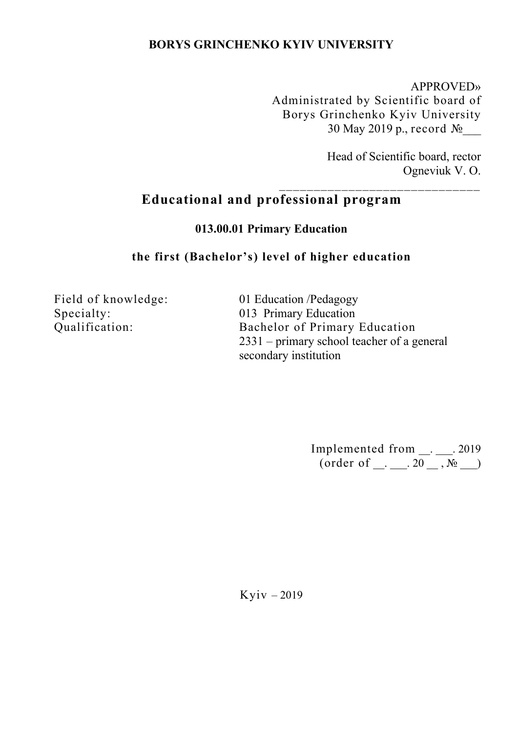## **BORYS GRINCHENKO KYIV UNIVERSITY**

APPROVED» Administrated by Scientific board of Borys Grinchenko Kyiv University 30 May 2019 p., record №

\_\_\_\_\_\_\_\_\_\_\_\_\_\_\_\_\_\_\_\_\_\_\_\_\_\_\_\_\_

Head of Scientific board, rector Ogneviuk V. O.

# **Educational and professional program**

**013.00.01 Primary Education**

### **the first (Bachelor's) level of higher education**

Field of knowledge: Specialty: Qualification:

01 Education /Pedagogy 013 Primary Education Bachelor of Primary Education 2331 – primary school teacher of a general secondary institution

> Implemented from  $\_\_$ .  $\_\_$ . 2019  $(\text{order of } \_\_ \_\_ \_ 20 \_ ,\_\_ \_ \_ )$

Kyiv – 2019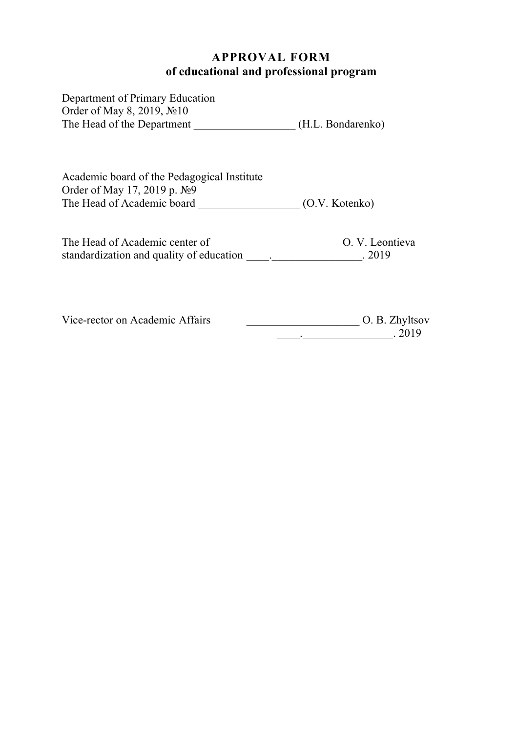# **APPROVAL FORM of educational and professional program**

| Department of Primary Education<br>Order of May 8, 2019, №10<br>The Head of the Department               | (H.L. Bondarenko)        |
|----------------------------------------------------------------------------------------------------------|--------------------------|
| Academic board of the Pedagogical Institute<br>Order of May 17, 2019 p. №9<br>The Head of Academic board | (O.V. Kotenko)           |
| The Head of Academic center of<br>standardization and quality of education                               | O. V. Leontieva<br>.2019 |

Vice-rector on Academic Affairs \_\_\_\_\_\_\_\_\_\_\_\_\_\_\_\_\_\_\_\_ О. B. Zhyltsov  $\frac{1}{2019}$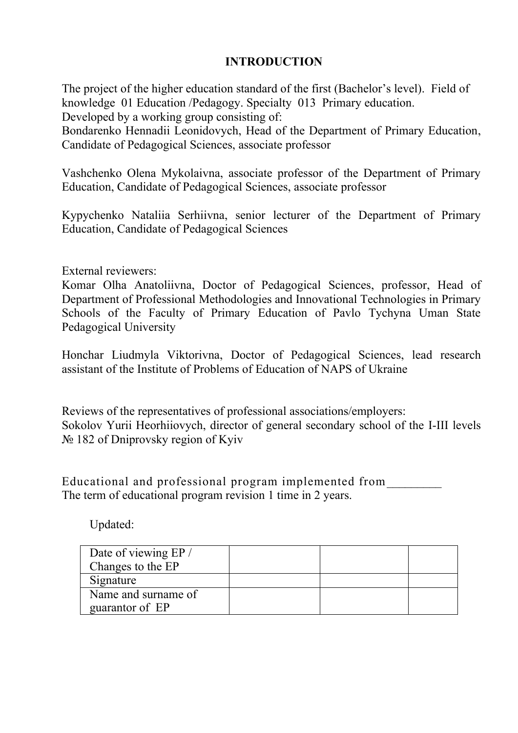## **INTRODUCTION**

The project of the higher education standard of the first (Bachelor's level). Field of knowledge 01 Education /Pedagogy. Specialty 013 Primary education. Developed by a working group consisting of:

Bondarenko Hennadii Leonidovych, Head of the Department of Primary Education, Candidate of Pedagogical Sciences, associate professor

Vashchenko Olena Mykolaivna, associate professor of the Department of Primary Education, Candidate of Pedagogical Sciences, associate professor

Kypychenko Nataliia Serhiivna, senior lecturer of the Department of Primary Education, Candidate of Pedagogical Sciences

External reviewers:

Komar Olha Anatoliivna, Doctor of Pedagogical Sciences, professor, Head of Department of Professional Methodologies and Innovational Technologies in Primary Schools of the Faculty of Primary Education of Pavlo Tychyna Uman State Pedagogical University

Honchar Liudmyla Viktorivna, Doctor of Pedagogical Sciences, lead research assistant of the Institute of Problems of Education of NAPS of Ukraine

Reviews of the representatives of professional associations/employers: Sokolov Yurii Heorhiiovych, director of general secondary school of the І-ІІІ levels № 182 of Dniprovsky region of Kyiv

Educational and professional program implemented from\_\_\_\_\_\_\_\_\_ The term of educational program revision 1 time in 2 years.

Updated:

| Date of viewing EP /<br>Changes to the EP |  |  |
|-------------------------------------------|--|--|
| Signature                                 |  |  |
| Name and surname of                       |  |  |
| guarantor of EP                           |  |  |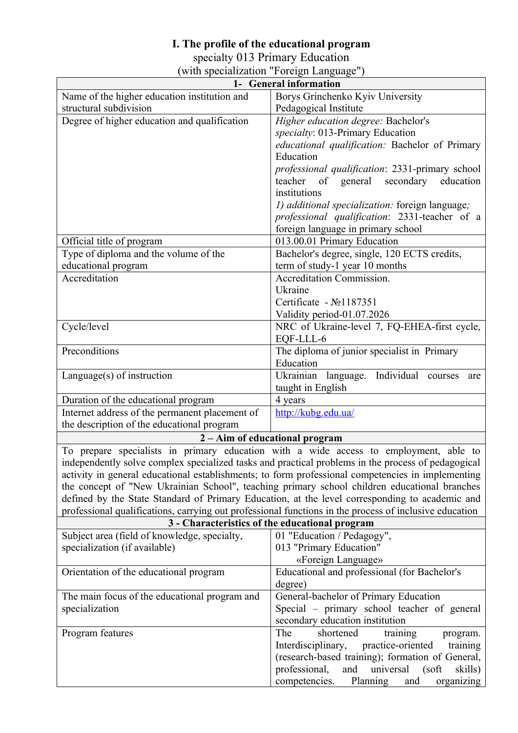### **I. The profile of the educational program**

specialty 013 Primary Education

|  |  | (with specialization "Foreign Language") |  |
|--|--|------------------------------------------|--|
|  |  |                                          |  |

| 1- General information                                                                                 |                                                                                                    |  |  |  |  |  |  |  |  |
|--------------------------------------------------------------------------------------------------------|----------------------------------------------------------------------------------------------------|--|--|--|--|--|--|--|--|
| Name of the higher education institution and                                                           | Borys Grinchenko Kyiv University                                                                   |  |  |  |  |  |  |  |  |
| structural subdivision                                                                                 | Pedagogical Institute                                                                              |  |  |  |  |  |  |  |  |
| Degree of higher education and qualification                                                           | Higher education degree: Bachelor's                                                                |  |  |  |  |  |  |  |  |
|                                                                                                        | specialty: 013-Primary Education                                                                   |  |  |  |  |  |  |  |  |
|                                                                                                        | educational qualification: Bachelor of Primary                                                     |  |  |  |  |  |  |  |  |
|                                                                                                        | Education                                                                                          |  |  |  |  |  |  |  |  |
|                                                                                                        | professional qualification: 2331-primary school                                                    |  |  |  |  |  |  |  |  |
|                                                                                                        | teacher<br>of general<br>secondary education                                                       |  |  |  |  |  |  |  |  |
|                                                                                                        | institutions                                                                                       |  |  |  |  |  |  |  |  |
|                                                                                                        | 1) additional specialization: foreign language;                                                    |  |  |  |  |  |  |  |  |
|                                                                                                        | professional qualification: 2331-teacher of a                                                      |  |  |  |  |  |  |  |  |
|                                                                                                        | foreign language in primary school                                                                 |  |  |  |  |  |  |  |  |
| Official title of program                                                                              | 013.00.01 Primary Education                                                                        |  |  |  |  |  |  |  |  |
| Type of diploma and the volume of the                                                                  | Bachelor's degree, single, 120 ECTS credits,                                                       |  |  |  |  |  |  |  |  |
| educational program                                                                                    | term of study-1 year 10 months                                                                     |  |  |  |  |  |  |  |  |
| Accreditation                                                                                          | Accreditation Commission.                                                                          |  |  |  |  |  |  |  |  |
|                                                                                                        | Ukraine                                                                                            |  |  |  |  |  |  |  |  |
|                                                                                                        | Certificate - No1187351                                                                            |  |  |  |  |  |  |  |  |
|                                                                                                        | Validity period-01.07.2026                                                                         |  |  |  |  |  |  |  |  |
| Cycle/level                                                                                            | NRC of Ukraine-level 7, FQ-EHEA-first cycle,                                                       |  |  |  |  |  |  |  |  |
|                                                                                                        | EQF-LLL-6                                                                                          |  |  |  |  |  |  |  |  |
| Preconditions                                                                                          | The diploma of junior specialist in Primary                                                        |  |  |  |  |  |  |  |  |
|                                                                                                        | Education                                                                                          |  |  |  |  |  |  |  |  |
| Language $(s)$ of instruction                                                                          | Ukrainian language. Individual courses<br>are                                                      |  |  |  |  |  |  |  |  |
|                                                                                                        | taught in English                                                                                  |  |  |  |  |  |  |  |  |
| Duration of the educational program                                                                    | 4 years                                                                                            |  |  |  |  |  |  |  |  |
| Internet address of the permanent placement of                                                         | http://kubg.edu.ua/                                                                                |  |  |  |  |  |  |  |  |
| the description of the educational program                                                             |                                                                                                    |  |  |  |  |  |  |  |  |
|                                                                                                        | 2 - Aim of educational program                                                                     |  |  |  |  |  |  |  |  |
|                                                                                                        | To prepare specialists in primary education with a wide access to employment, able to              |  |  |  |  |  |  |  |  |
|                                                                                                        | independently solve complex specialized tasks and practical problems in the process of pedagogical |  |  |  |  |  |  |  |  |
|                                                                                                        | activity in general educational establishments; to form professional competencies in implementing  |  |  |  |  |  |  |  |  |
|                                                                                                        | the concept of "New Ukrainian School", teaching primary school children educational branches       |  |  |  |  |  |  |  |  |
|                                                                                                        | defined by the State Standard of Primary Education, at the level corresponding to academic and     |  |  |  |  |  |  |  |  |
| professional qualifications, carrying out professional functions in the process of inclusive education |                                                                                                    |  |  |  |  |  |  |  |  |
|                                                                                                        | 3 - Characteristics of the educational program                                                     |  |  |  |  |  |  |  |  |
| Subject area (field of knowledge, specialty,                                                           | 01 "Education / Pedagogy",                                                                         |  |  |  |  |  |  |  |  |
| specialization (if available)                                                                          | 013 "Primary Education"                                                                            |  |  |  |  |  |  |  |  |
|                                                                                                        | «Foreign Language»<br>Educational and professional (for Bachelor's                                 |  |  |  |  |  |  |  |  |
| Orientation of the educational program                                                                 |                                                                                                    |  |  |  |  |  |  |  |  |
|                                                                                                        | degree)                                                                                            |  |  |  |  |  |  |  |  |
| The main focus of the educational program and<br>specialization                                        | General-bachelor of Primary Education<br>Special – primary school teacher of general               |  |  |  |  |  |  |  |  |
|                                                                                                        | secondary education institution                                                                    |  |  |  |  |  |  |  |  |
| Program features                                                                                       | The<br>shortened<br>training                                                                       |  |  |  |  |  |  |  |  |
|                                                                                                        | program.<br>Interdisciplinary,<br>practice-oriented<br>training                                    |  |  |  |  |  |  |  |  |
|                                                                                                        | (research-based training); formation of General,                                                   |  |  |  |  |  |  |  |  |
|                                                                                                        | professional,<br>universal<br>and<br>$(s$ oft<br>skills)                                           |  |  |  |  |  |  |  |  |
|                                                                                                        | competencies.<br>Planning<br>and<br>organizing                                                     |  |  |  |  |  |  |  |  |
|                                                                                                        |                                                                                                    |  |  |  |  |  |  |  |  |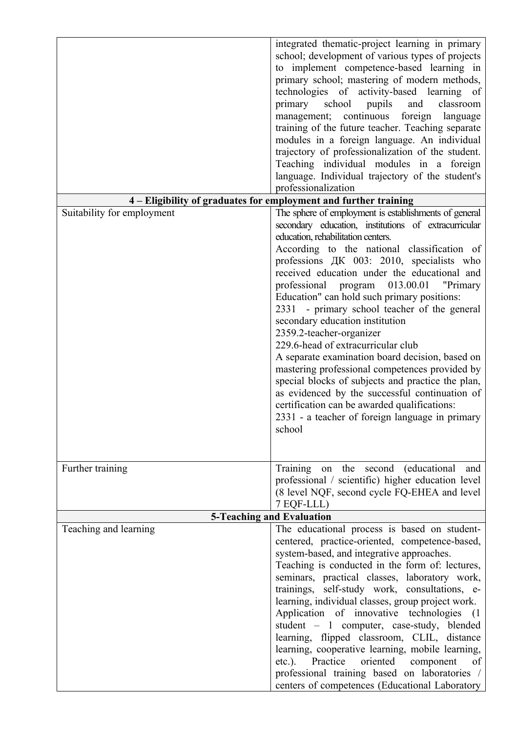|                            | integrated thematic-project learning in primary<br>school; development of various types of projects<br>to implement competence-based learning in<br>primary school; mastering of modern methods,<br>technologies of activity-based learning of<br>primary school<br>classroom<br>pupils<br>and<br>management; continuous foreign language<br>training of the future teacher. Teaching separate<br>modules in a foreign language. An individual<br>trajectory of professionalization of the student.<br>Teaching individual modules in a foreign<br>language. Individual trajectory of the student's<br>professionalization<br>4 - Eligibility of graduates for employment and further training                   |
|----------------------------|------------------------------------------------------------------------------------------------------------------------------------------------------------------------------------------------------------------------------------------------------------------------------------------------------------------------------------------------------------------------------------------------------------------------------------------------------------------------------------------------------------------------------------------------------------------------------------------------------------------------------------------------------------------------------------------------------------------|
| Suitability for employment | The sphere of employment is establishments of general                                                                                                                                                                                                                                                                                                                                                                                                                                                                                                                                                                                                                                                            |
|                            | secondary education, institutions of extracurricular<br>education, rehabilitation centers.                                                                                                                                                                                                                                                                                                                                                                                                                                                                                                                                                                                                                       |
|                            | According to the national classification of<br>professions ДК 003: 2010, specialists who<br>received education under the educational and<br>professional program 013.00.01 "Primary<br>Education" can hold such primary positions:<br>2331 - primary school teacher of the general<br>secondary education institution<br>2359.2-teacher-organizer<br>229.6-head of extracurricular club<br>A separate examination board decision, based on<br>mastering professional competences provided by<br>special blocks of subjects and practice the plan,<br>as evidenced by the successful continuation of<br>certification can be awarded qualifications:<br>2331 - a teacher of foreign language in primary<br>school |
| Further training           | Training on the second (educational<br>and<br>professional / scientific) higher education level<br>(8 level NQF, second cycle FQ-EHEA and level                                                                                                                                                                                                                                                                                                                                                                                                                                                                                                                                                                  |
|                            | 7 EQF-LLL)                                                                                                                                                                                                                                                                                                                                                                                                                                                                                                                                                                                                                                                                                                       |
|                            | <b>5-Teaching and Evaluation</b>                                                                                                                                                                                                                                                                                                                                                                                                                                                                                                                                                                                                                                                                                 |
| Teaching and learning      | The educational process is based on student-<br>centered, practice-oriented, competence-based,<br>system-based, and integrative approaches.<br>Teaching is conducted in the form of: lectures,<br>seminars, practical classes, laboratory work,<br>trainings, self-study work, consultations, e-<br>learning, individual classes, group project work.<br>Application of innovative technologies (1<br>student - 1 computer, case-study, blended<br>learning, flipped classroom, CLIL, distance<br>learning, cooperative learning, mobile learning,<br>etc.). Practice oriented component<br>of<br>professional training based on laboratories /<br>centers of competences (Educational Laboratory                |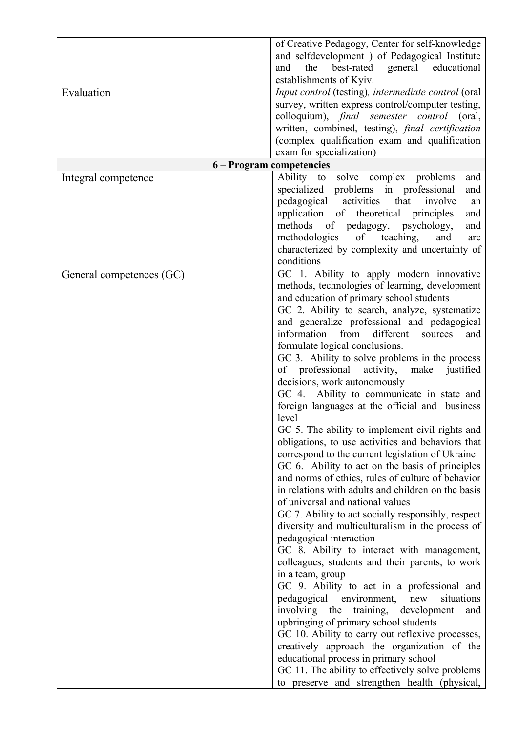| Evaluation               | of Creative Pedagogy, Center for self-knowledge<br>and selfdevelopment) of Pedagogical Institute<br>best-rated general educational<br>the<br>and<br>establishments of Kyiv.<br>Input control (testing), intermediate control (oral<br>survey, written express control/computer testing,<br>colloquium), <i>final</i> semester control (oral,<br>written, combined, testing), final certification<br>(complex qualification exam and qualification<br>exam for specialization)                                                                                                                                                                                                                                                                                                                                                                                                                                                                                                                                                                                                                                                                                                                                                                                                                                                                                                                                                                                                                                                                                                                                                            |
|--------------------------|------------------------------------------------------------------------------------------------------------------------------------------------------------------------------------------------------------------------------------------------------------------------------------------------------------------------------------------------------------------------------------------------------------------------------------------------------------------------------------------------------------------------------------------------------------------------------------------------------------------------------------------------------------------------------------------------------------------------------------------------------------------------------------------------------------------------------------------------------------------------------------------------------------------------------------------------------------------------------------------------------------------------------------------------------------------------------------------------------------------------------------------------------------------------------------------------------------------------------------------------------------------------------------------------------------------------------------------------------------------------------------------------------------------------------------------------------------------------------------------------------------------------------------------------------------------------------------------------------------------------------------------|
|                          | 6 - Program competencies                                                                                                                                                                                                                                                                                                                                                                                                                                                                                                                                                                                                                                                                                                                                                                                                                                                                                                                                                                                                                                                                                                                                                                                                                                                                                                                                                                                                                                                                                                                                                                                                                 |
| Integral competence      | solve complex problems<br>Ability to<br>and<br>specialized problems in professional<br>and<br>pedagogical activities<br>that<br>involve<br>an<br>application of theoretical<br>principles<br>and<br>methods<br>of pedagogy, psychology,<br>and<br>of teaching,<br>methodologies<br>and<br>are<br>characterized by complexity and uncertainty of<br>conditions                                                                                                                                                                                                                                                                                                                                                                                                                                                                                                                                                                                                                                                                                                                                                                                                                                                                                                                                                                                                                                                                                                                                                                                                                                                                            |
| General competences (GC) | GC 1. Ability to apply modern innovative<br>methods, technologies of learning, development<br>and education of primary school students<br>GC 2. Ability to search, analyze, systematize<br>and generalize professional and pedagogical<br>from<br>information<br>different<br>sources<br>and<br>formulate logical conclusions.<br>GC 3. Ability to solve problems in the process<br>of professional activity,<br>make justified<br>decisions, work autonomously<br>GC 4. Ability to communicate in state and<br>foreign languages at the official and business<br>level<br>GC 5. The ability to implement civil rights and<br>obligations, to use activities and behaviors that<br>correspond to the current legislation of Ukraine<br>GC 6. Ability to act on the basis of principles<br>and norms of ethics, rules of culture of behavior<br>in relations with adults and children on the basis<br>of universal and national values<br>GC 7. Ability to act socially responsibly, respect<br>diversity and multiculturalism in the process of<br>pedagogical interaction<br>GC 8. Ability to interact with management,<br>colleagues, students and their parents, to work<br>in a team, group<br>GC 9. Ability to act in a professional and<br>situations<br>pedagogical environment,<br>new<br>involving the training,<br>development<br>and<br>upbringing of primary school students<br>GC 10. Ability to carry out reflexive processes,<br>creatively approach the organization of the<br>educational process in primary school<br>GC 11. The ability to effectively solve problems<br>to preserve and strengthen health (physical, |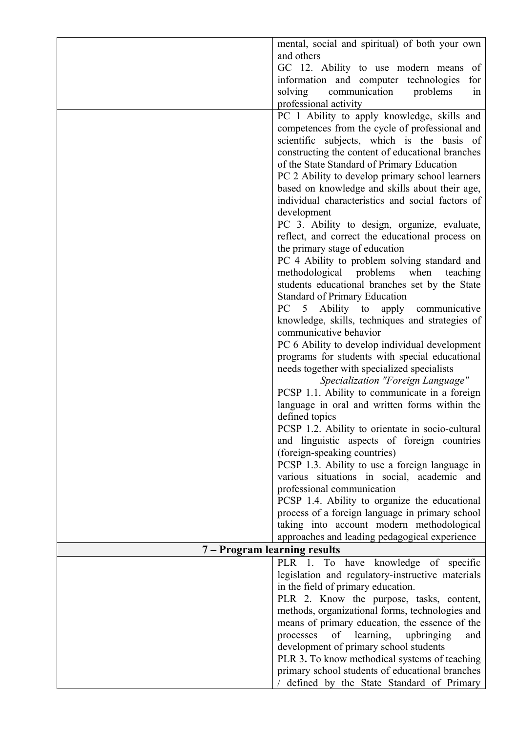|                              | mental, social and spiritual) of both your own                                                     |
|------------------------------|----------------------------------------------------------------------------------------------------|
|                              | and others                                                                                         |
|                              | GC 12. Ability to use modern means<br>of                                                           |
|                              | information and computer technologies<br>for                                                       |
|                              | communication<br>solving<br>problems<br>1n                                                         |
|                              | professional activity                                                                              |
|                              | PC 1 Ability to apply knowledge, skills and                                                        |
|                              | competences from the cycle of professional and                                                     |
|                              | scientific subjects, which is the basis of                                                         |
|                              | constructing the content of educational branches                                                   |
|                              | of the State Standard of Primary Education                                                         |
|                              | PC 2 Ability to develop primary school learners                                                    |
|                              | based on knowledge and skills about their age,<br>individual characteristics and social factors of |
|                              | development                                                                                        |
|                              | PC 3. Ability to design, organize, evaluate,                                                       |
|                              | reflect, and correct the educational process on                                                    |
|                              | the primary stage of education                                                                     |
|                              | PC 4 Ability to problem solving standard and                                                       |
|                              | methodological problems<br>when<br>teaching                                                        |
|                              | students educational branches set by the State                                                     |
|                              | <b>Standard of Primary Education</b>                                                               |
|                              | PC<br>Ability to apply communicative<br>5                                                          |
|                              | knowledge, skills, techniques and strategies of                                                    |
|                              | communicative behavior                                                                             |
|                              | PC 6 Ability to develop individual development                                                     |
|                              | programs for students with special educational<br>needs together with specialized specialists      |
|                              | Specialization "Foreign Language"                                                                  |
|                              | PCSP 1.1. Ability to communicate in a foreign                                                      |
|                              | language in oral and written forms within the                                                      |
|                              | defined topics                                                                                     |
|                              | PCSP 1.2. Ability to orientate in socio-cultural                                                   |
|                              | and linguistic aspects of foreign countries                                                        |
|                              | (foreign-speaking countries)                                                                       |
|                              | PCSP 1.3. Ability to use a foreign language in                                                     |
|                              | various situations in social, academic and<br>professional communication                           |
|                              | PCSP 1.4. Ability to organize the educational                                                      |
|                              | process of a foreign language in primary school                                                    |
|                              | taking into account modern methodological                                                          |
|                              | approaches and leading pedagogical experience                                                      |
| 7 – Program learning results |                                                                                                    |
|                              | PLR 1. To have knowledge of specific                                                               |
|                              | legislation and regulatory-instructive materials                                                   |
|                              | in the field of primary education.                                                                 |
|                              | PLR 2. Know the purpose, tasks, content,                                                           |
|                              | methods, organizational forms, technologies and                                                    |
|                              | means of primary education, the essence of the<br>of learning,<br>processes<br>upbringing<br>and   |
|                              | development of primary school students                                                             |
|                              | PLR 3. To know methodical systems of teaching                                                      |
|                              | primary school students of educational branches                                                    |
|                              | defined by the State Standard of Primary                                                           |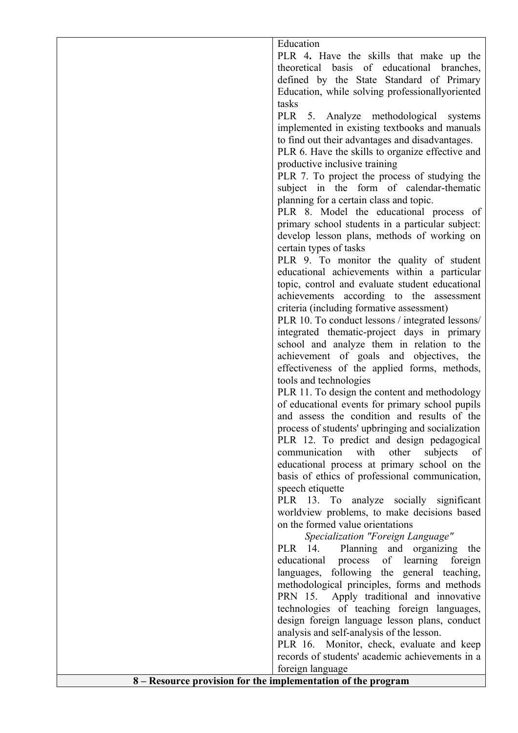Education

PLR 4**.** Have the skills that make up the theoretical basis of educational branches, defined by the State Standard of Primary Education, while solving professionallyoriented tasks

PLR 5. Analyze methodological systems implemented in existing textbooks and manuals to find out their advantages and disadvantages.

PLR 6. Have the skills to organize effective and productive inclusive training

PLR 7. To project the process of studying the subject in the form of calendar-thematic planning for a certain class and topic.

PLR 8. Model the educational process of primary school students in a particular subject: develop lesson plans, methods of working on certain types of tasks

PLR 9. To monitor the quality of student educational achievements within a particular topic, control and evaluate student educational achievements according to the assessment criteria (including formative assessment)

PLR 10. To conduct lessons / integrated lessons/ integrated thematic-project days in primary school and analyze them in relation to the achievement of goals and objectives, the effectiveness of the applied forms, methods, tools and technologies

PLR 11. To design the content and methodology of educational events for primary school pupils and assess the condition and results of the process of students' upbringing and socialization PLR 12. To predict and design pedagogical communication with other subjects of educational process at primary school on the basis of ethics of professional communication, speech etiquette

PLR 13. To analyze socially significant worldview problems, to make decisions based on the formed value orientations

*Specialization "Foreign Language"*

PLR 14. Planning and organizing the educational process of learning foreign languages, following the general teaching, methodological principles, forms and methods PRN 15. Apply traditional and innovative technologies of teaching foreign languages, design foreign language lesson plans, conduct analysis and self-analysis of the lesson.

PLR 16. Monitor, check, evaluate and keep records of students' academic achievements in a foreign language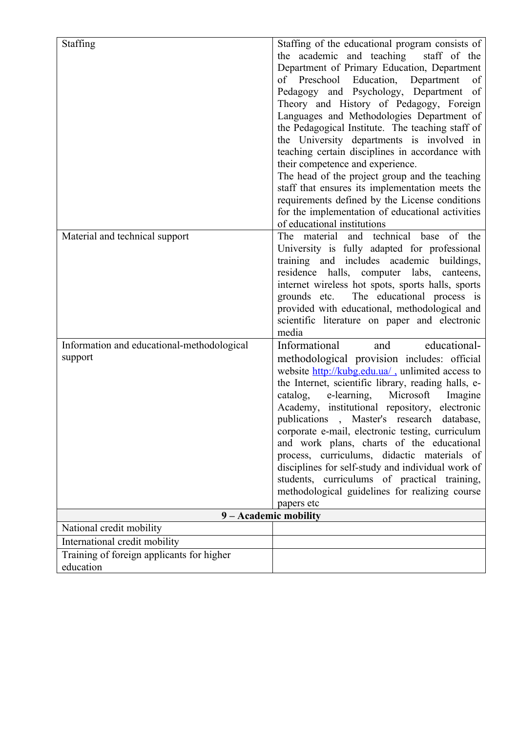| <b>Staffing</b>                                        | Staffing of the educational program consists of<br>the academic and teaching<br>staff of the<br>Department of Primary Education, Department<br>Preschool Education, Department<br>of<br>οf<br>Pedagogy and Psychology, Department<br>of<br>Theory and History of Pedagogy, Foreign<br>Languages and Methodologies Department of<br>the Pedagogical Institute. The teaching staff of<br>the University departments is involved in<br>teaching certain disciplines in accordance with<br>their competence and experience.<br>The head of the project group and the teaching<br>staff that ensures its implementation meets the<br>requirements defined by the License conditions<br>for the implementation of educational activities<br>of educational institutions |
|--------------------------------------------------------|-------------------------------------------------------------------------------------------------------------------------------------------------------------------------------------------------------------------------------------------------------------------------------------------------------------------------------------------------------------------------------------------------------------------------------------------------------------------------------------------------------------------------------------------------------------------------------------------------------------------------------------------------------------------------------------------------------------------------------------------------------------------|
| Material and technical support                         | and technical base of the<br>material<br><b>The</b><br>University is fully adapted for professional<br>training and includes academic<br>buildings,<br>residence halls, computer labs, canteens,<br>internet wireless hot spots, sports halls, sports<br>The educational process is<br>grounds etc.<br>provided with educational, methodological and<br>scientific literature on paper and electronic<br>media                                                                                                                                                                                                                                                                                                                                                    |
| Information and educational-methodological<br>support  | Informational<br>educational-<br>and<br>methodological provision includes: official<br>website http://kubg.edu.ua/, unlimited access to<br>the Internet, scientific library, reading halls, e-<br>catalog,<br>e-learning, Microsoft<br>Imagine<br>Academy, institutional repository, electronic<br>publications, Master's research database,<br>corporate e-mail, electronic testing, curriculum<br>and work plans, charts of the educational<br>process, curriculums, didactic materials of<br>disciplines for self-study and individual work of<br>students, curriculums of practical training,<br>methodological guidelines for realizing course<br>papers etc                                                                                                 |
| 9 - Academic mobility                                  |                                                                                                                                                                                                                                                                                                                                                                                                                                                                                                                                                                                                                                                                                                                                                                   |
| National credit mobility                               |                                                                                                                                                                                                                                                                                                                                                                                                                                                                                                                                                                                                                                                                                                                                                                   |
| International credit mobility                          |                                                                                                                                                                                                                                                                                                                                                                                                                                                                                                                                                                                                                                                                                                                                                                   |
| Training of foreign applicants for higher<br>education |                                                                                                                                                                                                                                                                                                                                                                                                                                                                                                                                                                                                                                                                                                                                                                   |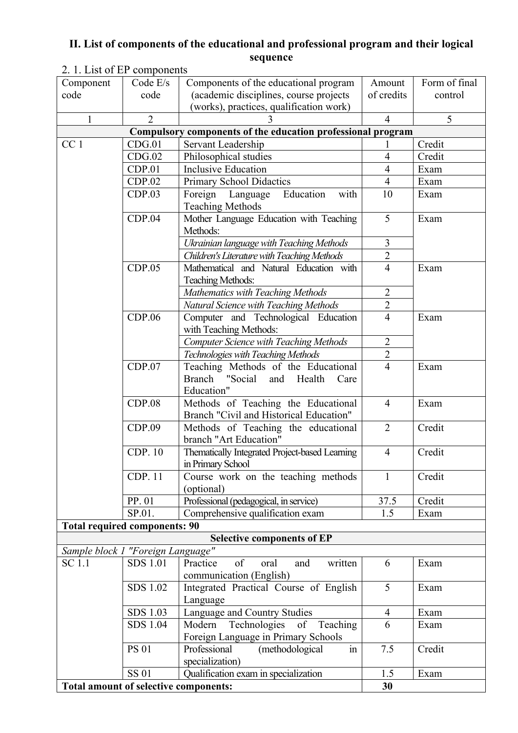### **II. List of components of the educational and professional program and their logical sequence**

| Component                             | Code $E/s$      | Components of the educational program                       | Amount         | Form of final |
|---------------------------------------|-----------------|-------------------------------------------------------------|----------------|---------------|
| code                                  | code            | (academic disciplines, course projects                      | of credits     | control       |
|                                       |                 | (works), practices, qualification work)                     |                |               |
| 1                                     | $\overline{2}$  |                                                             | $\overline{4}$ | 5             |
|                                       |                 | Compulsory components of the education professional program |                |               |
| CC <sub>1</sub>                       | CDG.01          | Servant Leadership                                          |                | Credit        |
|                                       | CDG.02          | Philosophical studies                                       | $\overline{4}$ | Credit        |
|                                       | CDP.01          | <b>Inclusive Education</b>                                  | $\overline{4}$ | Exam          |
|                                       | CDP.02          | <b>Primary School Didactics</b>                             | $\overline{4}$ | Exam          |
|                                       | CDP.03          | Education<br>Foreign Language<br>with                       | 10             | Exam          |
|                                       |                 | <b>Teaching Methods</b>                                     |                |               |
|                                       | CDP.04          | Mother Language Education with Teaching                     | 5              | Exam          |
|                                       |                 | Methods:                                                    |                |               |
|                                       |                 | Ukrainian language with Teaching Methods                    | $\overline{3}$ |               |
|                                       |                 | Children's Literature with Teaching Methods                 | $\overline{2}$ |               |
|                                       | CDP.05          | Mathematical and Natural Education with                     | $\overline{4}$ | Exam          |
|                                       |                 | <b>Teaching Methods:</b>                                    |                |               |
|                                       |                 | Mathematics with Teaching Methods                           | $\overline{2}$ |               |
|                                       |                 | Natural Science with Teaching Methods                       | $\overline{2}$ |               |
|                                       | CDP.06          | Computer and Technological Education                        | $\overline{4}$ | Exam          |
|                                       |                 | with Teaching Methods:                                      |                |               |
|                                       |                 | <b>Computer Science with Teaching Methods</b>               | $\overline{2}$ |               |
|                                       |                 | Technologies with Teaching Methods                          | $\overline{2}$ |               |
|                                       | CDP.07          | Teaching Methods of the Educational                         | $\overline{4}$ | Exam          |
|                                       |                 | <b>Branch</b><br>"Social<br>Health<br>and<br>Care           |                |               |
|                                       |                 | Education"                                                  |                |               |
|                                       | CDP.08          | Methods of Teaching the Educational                         | $\overline{4}$ | Exam          |
|                                       |                 | Branch "Civil and Historical Education"                     |                |               |
|                                       | CDP.09          | Methods of Teaching the educational                         | $\overline{2}$ | Credit        |
|                                       |                 | branch "Art Education"                                      |                |               |
|                                       | CDP. 10         | Thematically Integrated Project-based Learning              | $\overline{4}$ | Credit        |
|                                       |                 | in Primary School                                           |                |               |
|                                       | <b>CDP. 11</b>  | Course work on the teaching methods                         | $\mathbf{1}$   | Credit        |
|                                       |                 | (optional)                                                  |                |               |
|                                       | PP. 01          | Professional (pedagogical, in service)                      | 37.5           | Credit        |
|                                       | SP.01.          | Comprehensive qualification exam                            | 1.5            | Exam          |
| <b>Total required components: 90</b>  |                 |                                                             |                |               |
|                                       |                 | <b>Selective components of EP</b>                           |                |               |
| Sample block 1 "Foreign Language"     |                 |                                                             |                |               |
| SC 1.1                                | <b>SDS 1.01</b> | of<br>Practice<br>oral<br>and<br>written                    | 6              | Exam          |
|                                       |                 | communication (English)                                     |                |               |
|                                       | SDS 1.02        | Integrated Practical Course of English                      | 5              | Exam          |
|                                       |                 | Language                                                    |                |               |
|                                       | SDS 1.03        | Language and Country Studies                                | $\overline{4}$ | Exam          |
|                                       | SDS 1.04        | Technologies<br>Modern<br>of Teaching                       | 6              | Exam          |
|                                       |                 | Foreign Language in Primary Schools                         |                |               |
|                                       | <b>PS 01</b>    | Professional<br>(methodological<br>$\overline{m}$           | 7.5            | Credit        |
|                                       |                 | specialization)                                             |                |               |
|                                       | <b>SS 01</b>    | Qualification exam in specialization                        | 1.5            | Exam          |
| Total amount of selective components: |                 |                                                             | 30             |               |

# 2. 1. List of EP components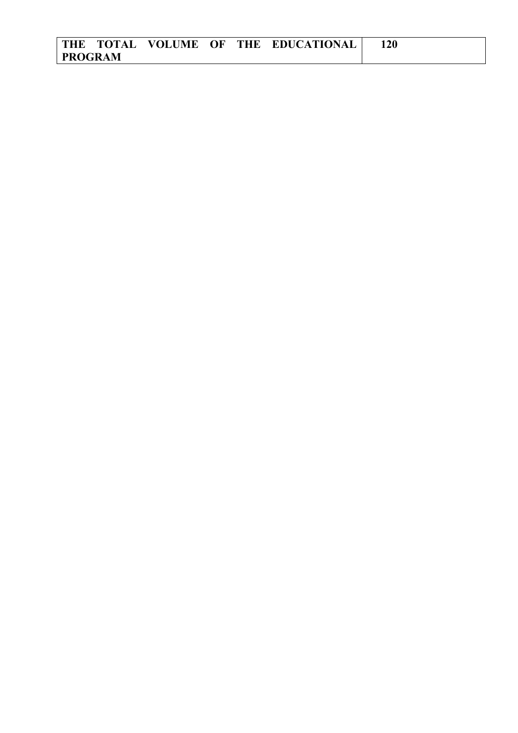|                |  |  | THE TOTAL VOLUME OF THE EDUCATIONAL |  |
|----------------|--|--|-------------------------------------|--|
| <b>PROGRAM</b> |  |  |                                     |  |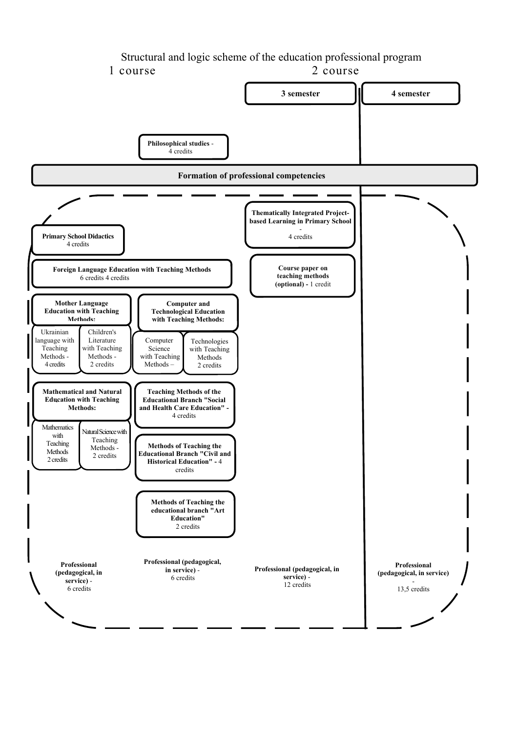#### Structural and logic scheme of the education professional program 1 course 2 course

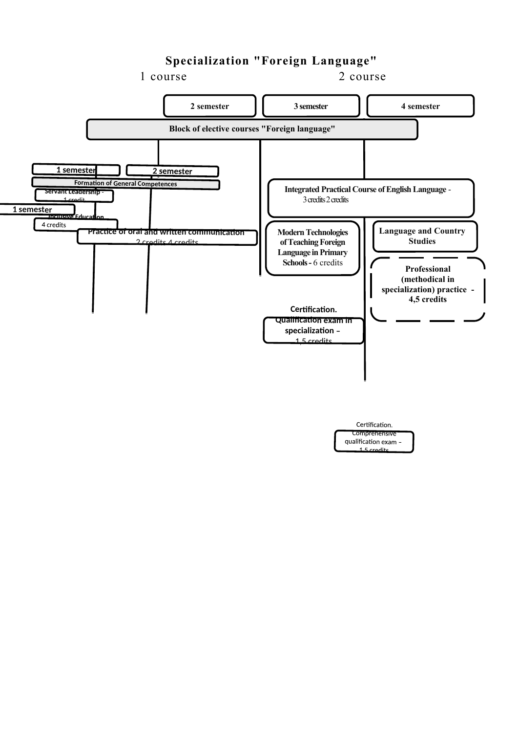## **Specialization "Foreign Language"**



 $1.5$  credit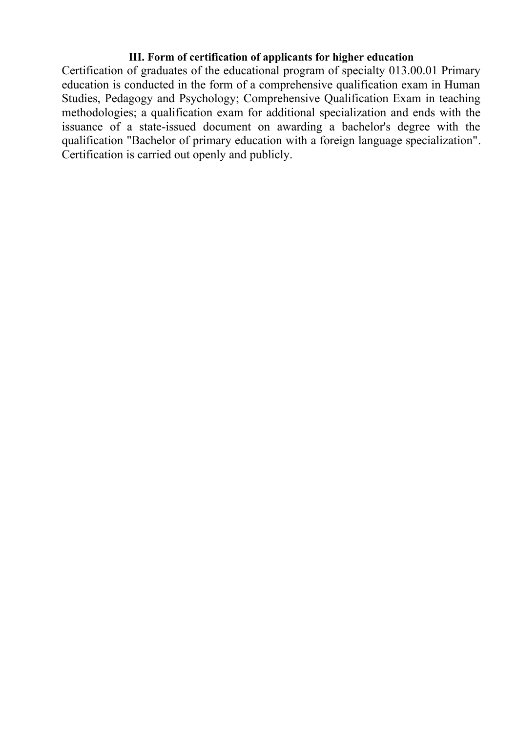### **III. Form of certification of applicants for higher education**

Certification of graduates of the educational program of specialty 013.00.01 Primary education is conducted in the form of a comprehensive qualification exam in Human Studies, Pedagogy and Psychology; Comprehensive Qualification Exam in teaching methodologies; a qualification exam for additional specialization and ends with the issuance of a state-issued document on awarding a bachelor's degree with the qualification "Bachelor of primary education with a foreign language specialization". Certification is carried out openly and publicly.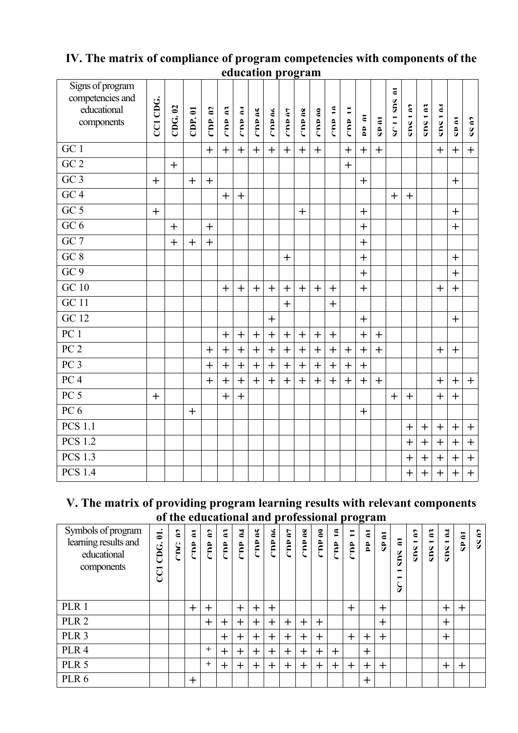|                                                                   | yuuvativii program |        |           |                   |               |                  |              |                |            |               |               |                |          |              |           |                                   |           |           |               |              |           |
|-------------------------------------------------------------------|--------------------|--------|-----------|-------------------|---------------|------------------|--------------|----------------|------------|---------------|---------------|----------------|----------|--------------|-----------|-----------------------------------|-----------|-----------|---------------|--------------|-----------|
| Signs of program<br>competencies and<br>educational<br>components | CCI CDG.           | CDG.02 | CDP.01    | $\epsilon$<br>equ | <b>CID</b> 03 | $\epsilon$<br>eu | <b>CIDAS</b> | <b>CITY OF</b> | $CD = 0.7$ | <b>CTD 08</b> | <b>CTD 00</b> | $\frac{1}{10}$ | Ξ<br>eq. | <b>DP 01</b> | CID AT    | $\overline{\bullet}$<br>SC 11 SDS | CING 1 M  | CDS102    | <b>NULOUS</b> | <b>CD AT</b> | CC N7     |
| GC 1                                                              |                    |        |           | $+$               | $+$           | $+$              | $+$          | $+$            | $+$        | $+$           | $+$           |                | $+$      | $+$          | $+$       |                                   |           |           | $+$           | $+$          | $+$       |
| $\overline{GC\ 2}$                                                |                    | $+$    |           |                   |               |                  |              |                |            |               |               |                | $+$      |              |           |                                   |           |           |               |              |           |
| GC3                                                               | $+$                |        | $+$       | $+$               |               |                  |              |                |            |               |               |                |          | $+$          |           |                                   |           |           |               | $+$          |           |
| $\overline{GC4}$                                                  |                    |        |           |                   | $+$           | $+$              |              |                |            |               |               |                |          |              |           | $+$                               | $+$       |           |               |              |           |
| $\overline{GC5}$                                                  | $+$                |        |           |                   |               |                  |              |                |            | $+$           |               |                |          | $+$          |           |                                   |           |           |               | $\ddag$      |           |
| $GC_6$                                                            |                    | $+$    |           | $+$               |               |                  |              |                |            |               |               |                |          | $+$          |           |                                   |           |           |               | $+$          |           |
| $\overline{GC}$ 7                                                 |                    | $\pm$  | $\ddot{}$ | $+$               |               |                  |              |                |            |               |               |                |          | $+$          |           |                                   |           |           |               |              |           |
| GC 8                                                              |                    |        |           |                   |               |                  |              |                | $+$        |               |               |                |          | $+$          |           |                                   |           |           |               | $+$          |           |
| $\overline{GC9}$                                                  |                    |        |           |                   |               |                  |              |                |            |               |               |                |          | $+$          |           |                                   |           |           |               | $+$          |           |
| <b>GC 10</b>                                                      |                    |        |           |                   | $+$           | $+$              | $+$          | $+$            | $+$        | $+$           | $+$           | $+$            |          | $+$          |           |                                   |           |           | $\ddot{}$     | $+$          |           |
| $\overline{GC\ 11}$                                               |                    |        |           |                   |               |                  |              |                | $+$        |               |               | $+$            |          |              |           |                                   |           |           |               |              |           |
| $\overline{GC\ 12}$                                               |                    |        |           |                   |               |                  |              | $\ddot{}$      |            |               |               |                |          | $+$          |           |                                   |           |           |               | $\ddot{}$    |           |
| $\overline{PC1}$                                                  |                    |        |           |                   | $+$           | $+$              | $+$          | $+$            | $+$        | $+$           | $\ddot{}$     | $+$            |          | $\ddot{}$    | $\ddot{}$ |                                   |           |           |               |              |           |
| $\overline{PC2}$                                                  |                    |        |           | $+$               | $\ddot{}$     | $+$              | $+$          | $+$            | $\ddot{}$  | $+$           | $\ddot{}$     | $\ddot{}$      | $+$      | $+$          | $+$       |                                   |           |           | $+$           | $+$          |           |
| PC <sub>3</sub>                                                   |                    |        |           | $+$               | $\ddot{}$     | $+$              | $+$          | $+$            | $+$        | $+$           | $+$           | $+$            | $+$      | $+$          |           |                                   |           |           |               |              |           |
| PC <sub>4</sub>                                                   |                    |        |           | $+$               | $^{+}$        | $+$              | $+$          | $+$            | $+$        | $^{+}$        | $\ddot{}$     | $+$            | $+$      | $+$          | $+$       |                                   |           |           | $\ddot{}$     | $+$          | $+$       |
| $\overline{PC5}$                                                  | $+$                |        |           |                   | $+$           | $+$              |              |                |            |               |               |                |          |              |           | $+$                               | $+$       |           | $\ddot{}$     | $+$          |           |
| PC6                                                               |                    |        | $+$       |                   |               |                  |              |                |            |               |               |                |          | $+$          |           |                                   |           |           |               |              |           |
| <b>PCS 1.1</b>                                                    |                    |        |           |                   |               |                  |              |                |            |               |               |                |          |              |           |                                   | $\ddot{}$ | $+$       | $+$           | $+$          | $+$       |
| <b>PCS 1.2</b>                                                    |                    |        |           |                   |               |                  |              |                |            |               |               |                |          |              |           |                                   | $\ddot{}$ | $+$       | $+$           | $\ddot{}$    | $+$       |
| <b>PCS 1.3</b>                                                    |                    |        |           |                   |               |                  |              |                |            |               |               |                |          |              |           |                                   | $\ddot{}$ | $\ddot{}$ | $+$           | $\ddot{}$    | $+$       |
| <b>PCS 1.4</b>                                                    |                    |        |           |                   |               |                  |              |                |            |               |               |                |          |              |           |                                   | $\ddot{}$ | $\ddot{}$ | $\ddag$       | $\ddot{}$    | $\ddot{}$ |

### **IV. The matrix of compliance of program competencies with components of the education program**

### **V. The matrix of providing program learning results with relevant components of the educational and professional program**

| Symbols of program<br>learning results and<br>educational<br>components | $\mathbf{d}$<br>CDG.<br><b>CO</b> | $\epsilon$<br>C<br>F | $\overline{\epsilon}$<br>Ê | $\epsilon$<br>Ê | $\tilde{\bf{c}}$<br>Ê | $\mathbf{z}$<br>Ê | $\tilde{\boldsymbol{\epsilon}}$<br>ed<br>C | $\epsilon$<br>م<br>ج | $\mathbf{C}$<br>Ê | $\mathbf{\underline{\mathbf{g}}}$<br>Ê | $\mathbf{e}$<br>Ê | $\epsilon$<br>$\hat{\mathbf{r}}$ | $\overline{ }$<br>Ê | $\epsilon$<br>Ê | $\overline{\epsilon}$<br>$\theta$ | Ξ<br>Surs<br>−<br>১ | $\epsilon$<br>−<br>Sub | $\tilde{\epsilon}$<br>−<br>SUIS | $\mathbf{z}$<br>−<br>Sub | $\overline{\phantom{a}}$<br>$\frac{\mathbf{a}}{\mathbf{v}}$ | $\epsilon$<br>å. |
|-------------------------------------------------------------------------|-----------------------------------|----------------------|----------------------------|-----------------|-----------------------|-------------------|--------------------------------------------|----------------------|-------------------|----------------------------------------|-------------------|----------------------------------|---------------------|-----------------|-----------------------------------|---------------------|------------------------|---------------------------------|--------------------------|-------------------------------------------------------------|------------------|
| PLR 1                                                                   |                                   |                      | $\mathrm{+}$               | $\pm$           |                       | $\pm$             | $\mathrm{+}$                               | $\div$               |                   |                                        |                   |                                  | $\ddot{}$           |                 | $\ddot{}$                         |                     |                        |                                 | $\mathrm{+}$             | $\pm$                                                       |                  |
| PLR <sub>2</sub>                                                        |                                   |                      |                            | $\mathrm{+}$    | $\mathrm{+}$          | $\pm$             | $\pm$                                      | $\pm$                | $\pm$             | $\pm$                                  | $\pm$             |                                  |                     |                 | $\pm$                             |                     |                        |                                 | $\pm$                    |                                                             |                  |
| PLR <sub>3</sub>                                                        |                                   |                      |                            |                 | $\mathrm{+}$          | ┿                 | $\pm$                                      | $\pm$                | $+$               | $\pm$                                  | $\div$            |                                  | $\pm$               | $\pm$           | $\pm$                             |                     |                        |                                 | $\mathrm{+}$             |                                                             |                  |
| PLR 4                                                                   |                                   |                      |                            | $^+$            | $\ddag$               | ┿                 | $\mathrm{+}$                               | $\boldsymbol{+}$     | $+$               | $\pm$                                  | $\pm$             | $\,+\,$                          |                     | $\mathrm{+}$    |                                   |                     |                        |                                 |                          |                                                             |                  |
| PLR 5                                                                   |                                   |                      |                            | $^{+}$          | $\mathrm{+}$          | $\pm$             | $\pm$                                      | $\pm$                | $\pm$             | $\pm$                                  | $\pm$             | $\mathrm{+}$                     | $\pm$               | $\pm$           | $\pm$                             |                     |                        |                                 | $\pm$                    | $\pm$                                                       |                  |
| PLR <sub>6</sub>                                                        |                                   |                      | $\mathrm{+}$               |                 |                       |                   |                                            |                      |                   |                                        |                   |                                  |                     | $\bm{+}$        |                                   |                     |                        |                                 |                          |                                                             |                  |